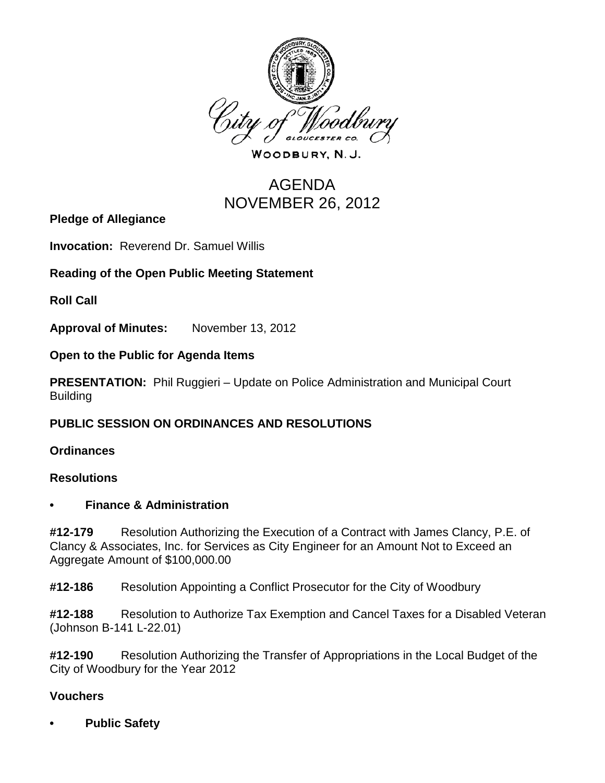

WOODBURY, N.J.

# AGENDA NOVEMBER 26, 2012

**Pledge of Allegiance**

**Invocation:** Reverend Dr. Samuel Willis

## **Reading of the Open Public Meeting Statement**

**Roll Call**

**Approval of Minutes:** November 13, 2012

**Open to the Public for Agenda Items**

**PRESENTATION:** Phil Ruggieri – Update on Police Administration and Municipal Court Building

## **PUBLIC SESSION ON ORDINANCES AND RESOLUTIONS**

**Ordinances**

#### **Resolutions**

#### **• Finance & Administration**

**#12-179** Resolution Authorizing the Execution of a Contract with James Clancy, P.E. of Clancy & Associates, Inc. for Services as City Engineer for an Amount Not to Exceed an Aggregate Amount of \$100,000.00

**#12-186** Resolution Appointing a Conflict Prosecutor for the City of Woodbury

**#12-188** Resolution to Authorize Tax Exemption and Cancel Taxes for a Disabled Veteran (Johnson B-141 L-22.01)

**#12-190** Resolution Authorizing the Transfer of Appropriations in the Local Budget of the City of Woodbury for the Year 2012

## **Vouchers**

**• Public Safety**